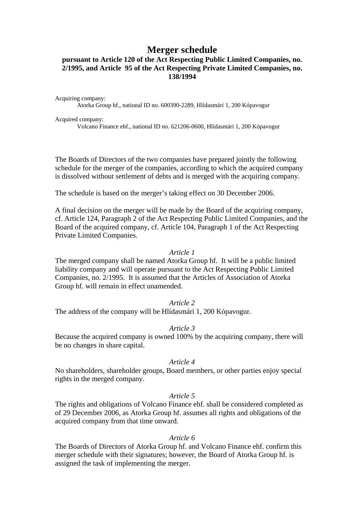# **Merger schedule**

## **pursuant to Article 120 of the Act Respecting Public Limited Companies, no. 2/1995, and Article 95 of the Act Respecting Private Limited Companies, no. 138/1994**

Acquiring company: Atorka Group hf., national ID no. 600390-2289, Hlídasmári 1, 200 Kópavogur

Acquired company:

Volcano Finance ehf., national ID no. 621206-0600, Hlídasmári 1, 200 Kópavogur

The Boards of Directors of the two companies have prepared jointly the following schedule for the merger of the companies, according to which the acquired company is dissolved without settlement of debts and is merged with the acquiring company.

The schedule is based on the merger's taking effect on 30 December 2006.

A final decision on the merger will be made by the Board of the acquiring company, cf. Article 124, Paragraph 2 of the Act Respecting Public Limited Companies, and the Board of the acquired company, cf. Article 104, Paragraph 1 of the Act Respecting Private Limited Companies.

## *Article 1*

The merged company shall be named Atorka Group hf. It will be a public limited liability company and will operate pursuant to the Act Respecting Public Limited Companies, no. 2/1995. It is assumed that the Articles of Association of Atorka Group hf. will remain in effect unamended.

#### *Article 2*

The address of the company will be Hlídasmári 1, 200 Kópavogur.

## *Article 3*

Because the acquired company is owned 100% by the acquiring company, there will be no changes in share capital.

#### *Article 4*

No shareholders, shareholder groups, Board members, or other parties enjoy special rights in the merged company.

## *Article 5*

The rights and obligations of Volcano Finance ehf. shall be considered completed as of 29 December 2006, as Atorka Group hf. assumes all rights and obligations of the acquired company from that time onward.

## *Article 6*

The Boards of Directors of Atorka Group hf. and Volcano Finance ehf. confirm this merger schedule with their signatures; however, the Board of Atorka Group hf. is assigned the task of implementing the merger.